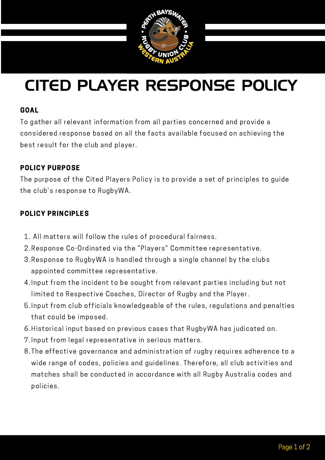

# CITED PLAYER RESPONSE POLICY

#### GOAL

To gather all relevant information from all parties concerned and provide a considered response based on all the facts available focused on achieving the best result for the club and player.

#### POLICY PURPOSE

Properties to hage *f* 11.1. The purpose of the Cited Players Policy is to provide a set of principles to guide the club's response to RugbyWA.

### POLICY PRINCIPLES

- All matters will follow the rules of procedural fairness. 1.
- 2. Response Co-Ordinated via the "Players" Committee representative.
- 3. Response to RugbyWA is handled through a single channel by the clubs appointed committee representative.
- 4. Input from the incident to be sought from relevant parties including but not limited to Respective Coaches, Director of Rugby and the Player.
- Input from club officials knowledgeable of the rules, regulations and penalties 5. that could be imposed.
- 6. Historical input based on previous cases that RugbyWA has judicated on.
- Input from legal representative in serious matters. 7.
- 8. The effective governance and administration of rugby requires adherence to a wide range of codes, policies and guidelines. Therefore, all club activities and matches shall be conducted in accordance with all Rugby Australia codes and policies.